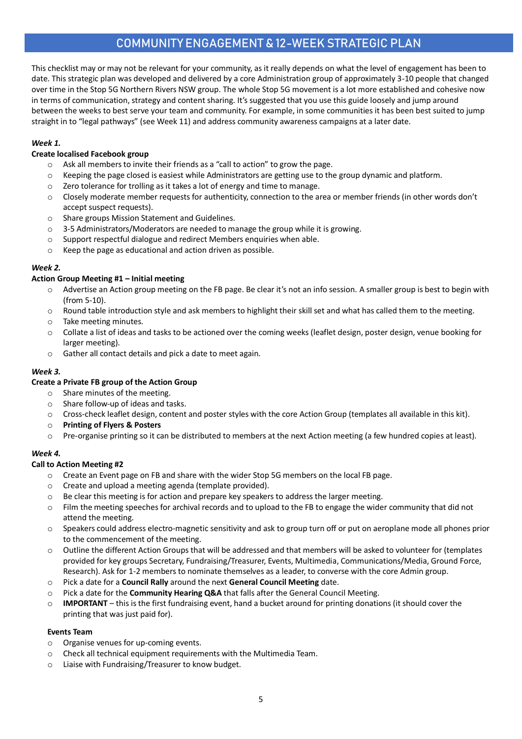# COMMUNITY ENGAGEMENT & 12-WEEK STRATEGIC PLAN

This checklist may or may not be relevant for your community, as it really depends on what the level of engagement has been to date. This strategic plan was developed and delivered by a core Administration group of approximately 3-10 people that changed over time in the Stop 5G Northern Rivers NSW group. The whole Stop 5G movement is a lot more established and cohesive now in terms of communication, strategy and content sharing. It's suggested that you use this guide loosely and jump around between the weeks to best serve your team and community. For example, in some communities it has been best suited to jump straight in to "legal pathways" (see Week 11) and address community awareness campaigns at a later date.

# *Week 1.*

# **Create localised Facebook group**

- $\circ$  Ask all members to invite their friends as a "call to action" to grow the page.
- o Keeping the page closed is easiest while Administrators are getting use to the group dynamic and platform.
- o Zero tolerance for trolling as it takes a lot of energy and time to manage.
- o Closely moderate member requests for authenticity, connection to the area or member friends (in other words don't accept suspect requests).
- o Share groups Mission Statement and Guidelines.
- $\circ$  3-5 Administrators/Moderators are needed to manage the group while it is growing.
- o Support respectful dialogue and redirect Members enquiries when able.
- o Keep the page as educational and action driven as possible.

# *Week 2.*

# **Action Group Meeting #1 – Initial meeting**

- o Advertise an Action group meeting on the FB page. Be clear it's not an info session. A smaller group is best to begin with (from 5-10).
- $\circ$  Round table introduction style and ask members to highlight their skill set and what has called them to the meeting.
- o Take meeting minutes.
- $\circ$  Collate a list of ideas and tasks to be actioned over the coming weeks (leaflet design, poster design, venue booking for larger meeting).
- o Gather all contact details and pick a date to meet again.

# *Week 3.*

# **Create a Private FB group of the Action Group**

- o Share minutes of the meeting.
- o Share follow-up of ideas and tasks.
- o Cross-check leaflet design, content and poster styles with the core Action Group (templates all available in this kit).
- o **Printing of Flyers & Posters**
- o Pre-organise printing so it can be distributed to members at the next Action meeting (a few hundred copies at least).

# *Week 4.*

# **Call to Action Meeting #2**

- o Create an Event page on FB and share with the wider Stop 5G members on the local FB page.
- o Create and upload a meeting agenda (template provided).
- $\circ$  Be clear this meeting is for action and prepare key speakers to address the larger meeting.
- $\circ$  Film the meeting speeches for archival records and to upload to the FB to engage the wider community that did not attend the meeting.
- o Speakers could address electro-magnetic sensitivity and ask to group turn off or put on aeroplane mode all phones prior to the commencement of the meeting.
- o Outline the different Action Groups that will be addressed and that members will be asked to volunteer for (templates provided for key groups Secretary, Fundraising/Treasurer, Events, Multimedia, Communications/Media, Ground Force, Research). Ask for 1-2 members to nominate themselves as a leader, to converse with the core Admin group.
- o Pick a date for a **Council Rally** around the next **General Council Meeting** date.
- o Pick a date for the **Community Hearing Q&A** that falls after the General Council Meeting.
- o **IMPORTANT**  this is the first fundraising event, hand a bucket around for printing donations (it should cover the printing that was just paid for).

# **Events Team**

- o Organise venues for up-coming events.
- o Check all technical equipment requirements with the Multimedia Team.
- o Liaise with Fundraising/Treasurer to know budget.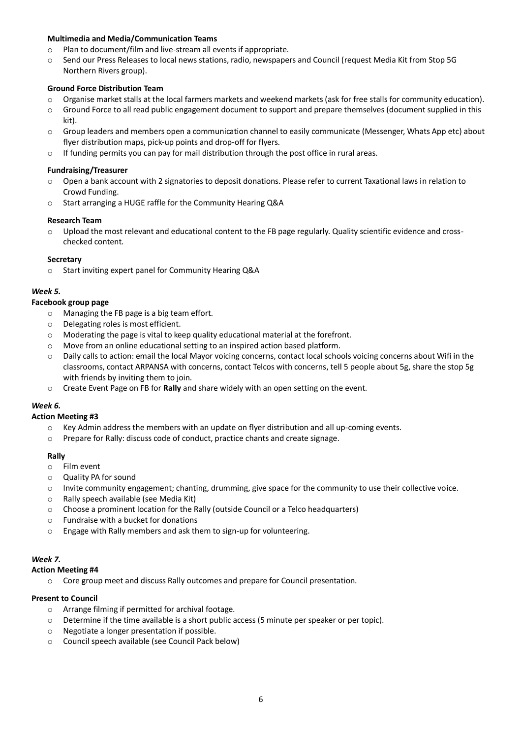#### **Multimedia and Media/Communication Teams**

- o Plan to document/film and live-stream all events if appropriate.
- o Send our Press Releases to local news stations, radio, newspapers and Council (request Media Kit from Stop 5G Northern Rivers group).

#### **Ground Force Distribution Team**

- o Organise market stalls at the local farmers markets and weekend markets (ask for free stalls for community education).
- o Ground Force to all read public engagement document to support and prepare themselves (document supplied in this kit).
- o Group leaders and members open a communication channel to easily communicate (Messenger, Whats App etc) about flyer distribution maps, pick-up points and drop-off for flyers.
- $\circ$  If funding permits you can pay for mail distribution through the post office in rural areas.

#### **Fundraising/Treasurer**

- o Open a bank account with 2 signatories to deposit donations. Please refer to current Taxational laws in relation to Crowd Funding.
- o Start arranging a HUGE raffle for the Community Hearing Q&A

#### **Research Team**

 $\circ$  Upload the most relevant and educational content to the FB page regularly. Quality scientific evidence and crosschecked content.

#### **Secretary**

o Start inviting expert panel for Community Hearing Q&A

# *Week 5.*

#### **Facebook group page**

- o Managing the FB page is a big team effort.
- o Delegating roles is most efficient.
- o Moderating the page is vital to keep quality educational material at the forefront.
- o Move from an online educational setting to an inspired action based platform.
- Daily calls to action: email the local Mayor voicing concerns, contact local schools voicing concerns about Wifi in the classrooms, contact ARPANSA with concerns, contact Telcos with concerns, tell 5 people about 5g, share the stop 5g with friends by inviting them to join.
- o Create Event Page on FB for **Rally** and share widely with an open setting on the event.

# *Week 6.*

#### **Action Meeting #3**

- $\circ$  Key Admin address the members with an update on flyer distribution and all up-coming events.
- o Prepare for Rally: discuss code of conduct, practice chants and create signage.

#### **Rally**

- o Film event
- o Quality PA for sound
- o Invite community engagement; chanting, drumming, give space for the community to use their collective voice.
- o Rally speech available (see Media Kit)
- o Choose a prominent location for the Rally (outside Council or a Telco headquarters)
- o Fundraise with a bucket for donations
- o Engage with Rally members and ask them to sign-up for volunteering.

# *Week 7.*

#### **Action Meeting #4**

o Core group meet and discuss Rally outcomes and prepare for Council presentation.

# **Present to Council**

- o Arrange filming if permitted for archival footage.
- o Determine if the time available is a short public access (5 minute per speaker or per topic).
- o Negotiate a longer presentation if possible.
- o Council speech available (see Council Pack below)